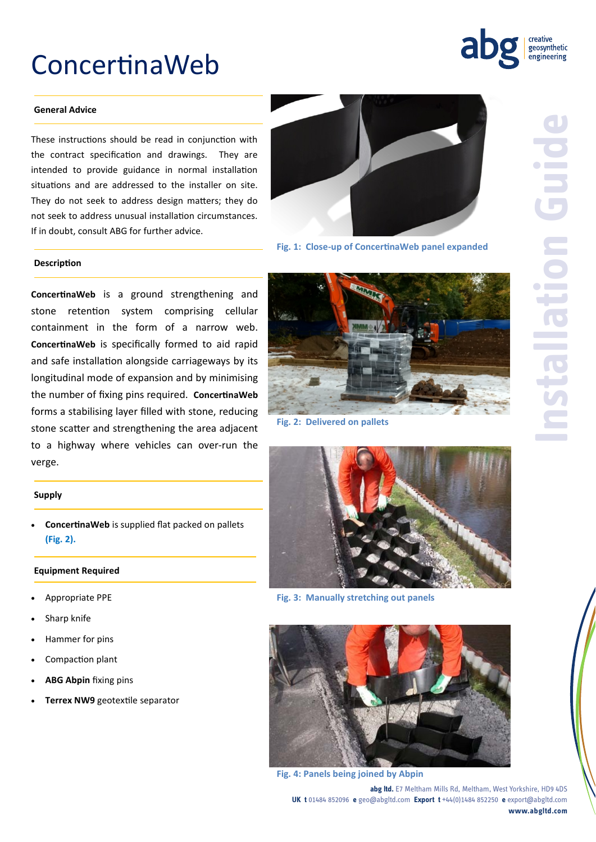# ConcertinaWeb



#### **General Advice**

These instructions should be read in conjunction with the contract specification and drawings. They are intended to provide guidance in normal installation situations and are addressed to the installer on site. They do not seek to address design matters; they do not seek to address unusual installation circumstances. If in doubt, consult ABG for further advice.

#### **Description**

**ConcertinaWeb** is a ground strengthening and stone retention system comprising cellular containment in the form of a narrow web. **ConcertinaWeb** is specifically formed to aid rapid and safe installation alongside carriageways by its longitudinal mode of expansion and by minimising the number of fixing pins required. **ConcertinaWeb** forms a stabilising layer filled with stone, reducing stone scatter and strengthening the area adjacent to a highway where vehicles can over-run the verge.

#### **Supply**

 **ConcertinaWeb** is supplied flat packed on pallets **(Fig. 2).**

#### **Equipment Required**

- Appropriate PPE
- Sharp knife
- Hammer for pins
- Compaction plant
- **ABG Abpin** fixing pins
- **Terrex NW9** geotextile separator



**Fig. 1: Close-up of ConcertinaWeb panel expanded**



**Fig. 2: Delivered on pallets** 



**Fig. 3: Manually stretching out panels**



**Fig. 4: Panels being joined by Abpin**

**abg ltd.** E7 Meltham Mills Rd, Meltham, West Yorkshire, HD9 4DS **UK t** 01484 852096 **e** geo@abgltd.com **Export t** +44(0)1484 852250 **e** export@abgltd.com **www.abgltd.com**